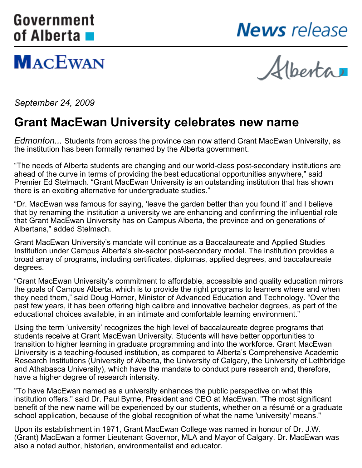# <span id="page-0-0"></span>Government of Alberta **■**

**MACEWAN** 



Alberta

*September 24, 2009*

### **Grant MacEwan University celebrates new name**

*Edmonton...* Students from across the province can now attend Grant MacEwan University, as the institution has been formally renamed by the Alberta government.

"The needs of Alberta students are changing and our world-class post-secondary institutions are ahead of the curve in terms of providing the best educational opportunities anywhere," said Premier Ed Stelmach. "Grant MacEwan University is an outstanding institution that has shown there is an exciting alternative for undergraduate studies."

"Dr. MacEwan was famous for saying, 'leave the garden better than you found it' and I believe that by renaming the institution a university we are enhancing and confirming the influential role that Grant MacEwan University has on Campus Alberta, the province and on generations of Albertans," added Stelmach.

Grant MacEwan University's mandate will continue as a Baccalaureate and Applied Studies Institution under Campus Alberta's six-sector post-secondary model. The institution provides a broad array of programs, including certificates, diplomas, applied degrees, and baccalaureate degrees.

"Grant MacEwan University's commitment to affordable, accessible and quality education mirrors the goals of Campus Alberta, which is to provide the right programs to learners where and when they need them," said Doug Horner, Minister of Advanced Education and Technology. "Over the past few years, it has been offering high calibre and innovative bachelor degrees, as part of the educational choices available, in an intimate and comfortable learning environment."

Using the term 'university' recognizes the high level of baccalaureate degree programs that students receive at Grant MacEwan University. Students will have better opportunities to transition to higher learning in graduate programming and into the workforce. Grant MacEwan University is a teaching-focused institution, as compared to Alberta's Comprehensive Academic Research Institutions (University of Alberta, the University of Calgary, the University of Lethbridge and Athabasca University), which have the mandate to conduct pure research and, therefore, have a higher degree of research intensity.

"To have MacEwan named as a university enhances the public perspective on what this institution offers," said Dr. Paul Byrne, President and CEO at MacEwan. "The most significant benefit of the new name will be experienced by our students, whether on a résumé or a graduate school application, because of the global recognition of what the name 'university' means."

Upon its establishment in 1971, Grant MacEwan College was named in honour of Dr. J.W. (Grant) MacEwan a former Lieutenant Governor, MLA and Mayor of Calgary. Dr. MacEwan was also a noted author, historian, environmentalist and educator.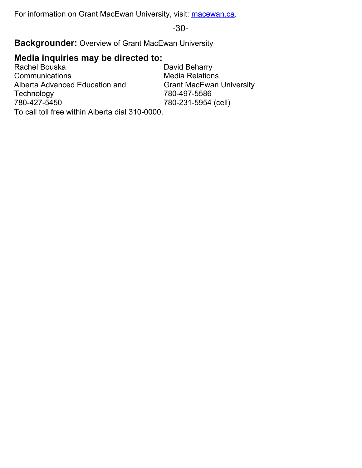For information on Grant MacEwan University, visit: [macewan.ca](http://www.macewan.ca).

-30-

**Backgrounder:** Overview of Grant MacEwan University

### **Media inquiries may be directed to:**

Rachel Bouska **Communications** Alberta Advanced Education and **Technology** 780-427-5450

David Beharry Media Relations Grant MacEwan University 780-497-5586 780-231-5954 (cell)

To call toll free within Alberta dial 310-0000.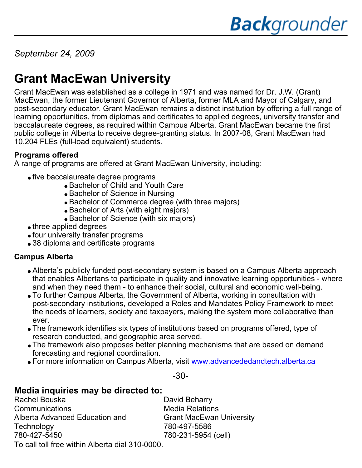*September 24, 2009*

## **Grant MacEwan University**

Grant MacEwan was established as a college in 1971 and was named for Dr. J.W. (Grant) MacEwan, the former Lieutenant Governor of Alberta, former MLA and Mayor of Calgary, and post-secondary educator. Grant MacEwan remains a distinct institution by offering a full range of learning opportunities, from diplomas and certificates to applied degrees, university transfer and baccalaureate degrees, as required within Campus Alberta. Grant MacEwan became the first public college in Alberta to receive degree-granting status. In 2007-08, Grant MacEwan had 10,204 FLEs (full-load equivalent) students.

### **Programs offered**

A range of programs are offered at Grant MacEwan University, including:

- five baccalaureate degree programs
	- Bachelor of Child and Youth Care
	- Bachelor of Science in Nursing
	- Bachelor of Commerce degree (with three majors)
	- Bachelor of Arts (with eight majors)
	- Bachelor of Science (with six majors)
- three applied degrees
- four university transfer programs
- 38 diploma and certificate programs

#### **Campus Alberta**

- Alberta's publicly funded post-secondary system is based on a Campus Alberta approach that enables Albertans to participate in quality and innovative learning opportunities - where and when they need them - to enhance their social, cultural and economic well-being.
- To further Campus Alberta, the Government of Alberta, working in consultation with post-secondary institutions, developed a Roles and Mandates Policy Framework to meet the needs of learners, society and taxpayers, making the system more collaborative than ever.
- The framework identifies six types of institutions based on programs offered, type of research conducted, and geographic area served.
- The framework also proposes better planning mechanisms that are based on demand forecasting and regional coordination.
- For more information on Campus Alberta, visit [www.advancededandtech.alberta.ca](http://www.advancededandtech.alberta.ca)

-30-

### **Media inquiries may be directed to:**

Rachel Bouska **Communications** Alberta Advanced Education and **Technology** 780-427-5450

David Beharry Media Relations Grant MacEwan University 780-497-5586 780-231-5954 (cell)

To call toll free within Alberta dial 310-0000.